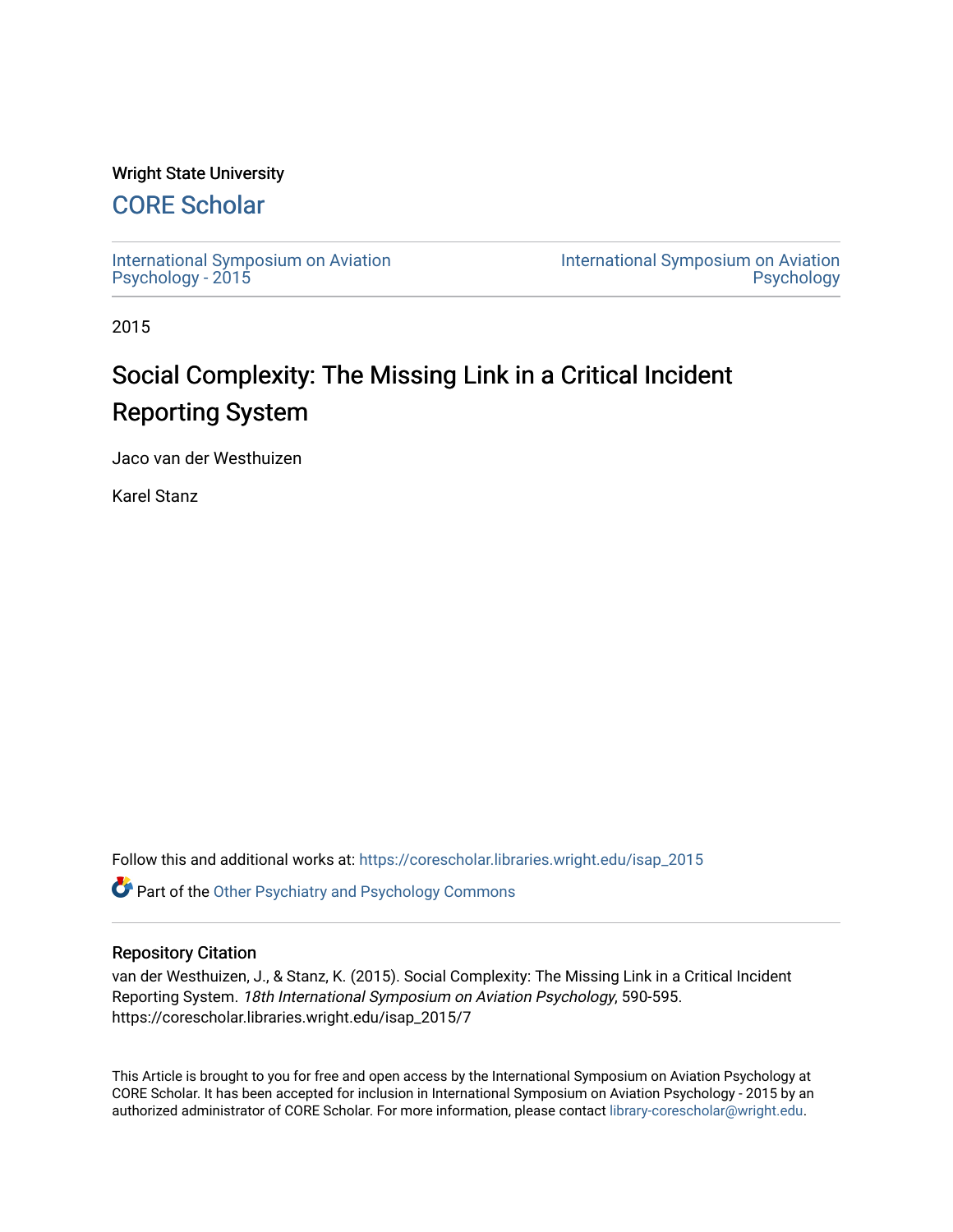## Wright State University

# [CORE Scholar](https://corescholar.libraries.wright.edu/)

[International Symposium on Aviation](https://corescholar.libraries.wright.edu/isap_2015) [Psychology - 2015](https://corescholar.libraries.wright.edu/isap_2015)

[International Symposium on Aviation](https://corescholar.libraries.wright.edu/isap)  [Psychology](https://corescholar.libraries.wright.edu/isap) 

2015

# Social Complexity: The Missing Link in a Critical Incident Reporting System

Jaco van der Westhuizen

Karel Stanz

Follow this and additional works at: [https://corescholar.libraries.wright.edu/isap\\_2015](https://corescholar.libraries.wright.edu/isap_2015?utm_source=corescholar.libraries.wright.edu%2Fisap_2015%2F7&utm_medium=PDF&utm_campaign=PDFCoverPages)

**C** Part of the [Other Psychiatry and Psychology Commons](http://network.bepress.com/hgg/discipline/992?utm_source=corescholar.libraries.wright.edu%2Fisap_2015%2F7&utm_medium=PDF&utm_campaign=PDFCoverPages)

### Repository Citation

van der Westhuizen, J., & Stanz, K. (2015). Social Complexity: The Missing Link in a Critical Incident Reporting System. 18th International Symposium on Aviation Psychology, 590-595. https://corescholar.libraries.wright.edu/isap\_2015/7

This Article is brought to you for free and open access by the International Symposium on Aviation Psychology at CORE Scholar. It has been accepted for inclusion in International Symposium on Aviation Psychology - 2015 by an authorized administrator of CORE Scholar. For more information, please contact [library-corescholar@wright.edu](mailto:library-corescholar@wright.edu).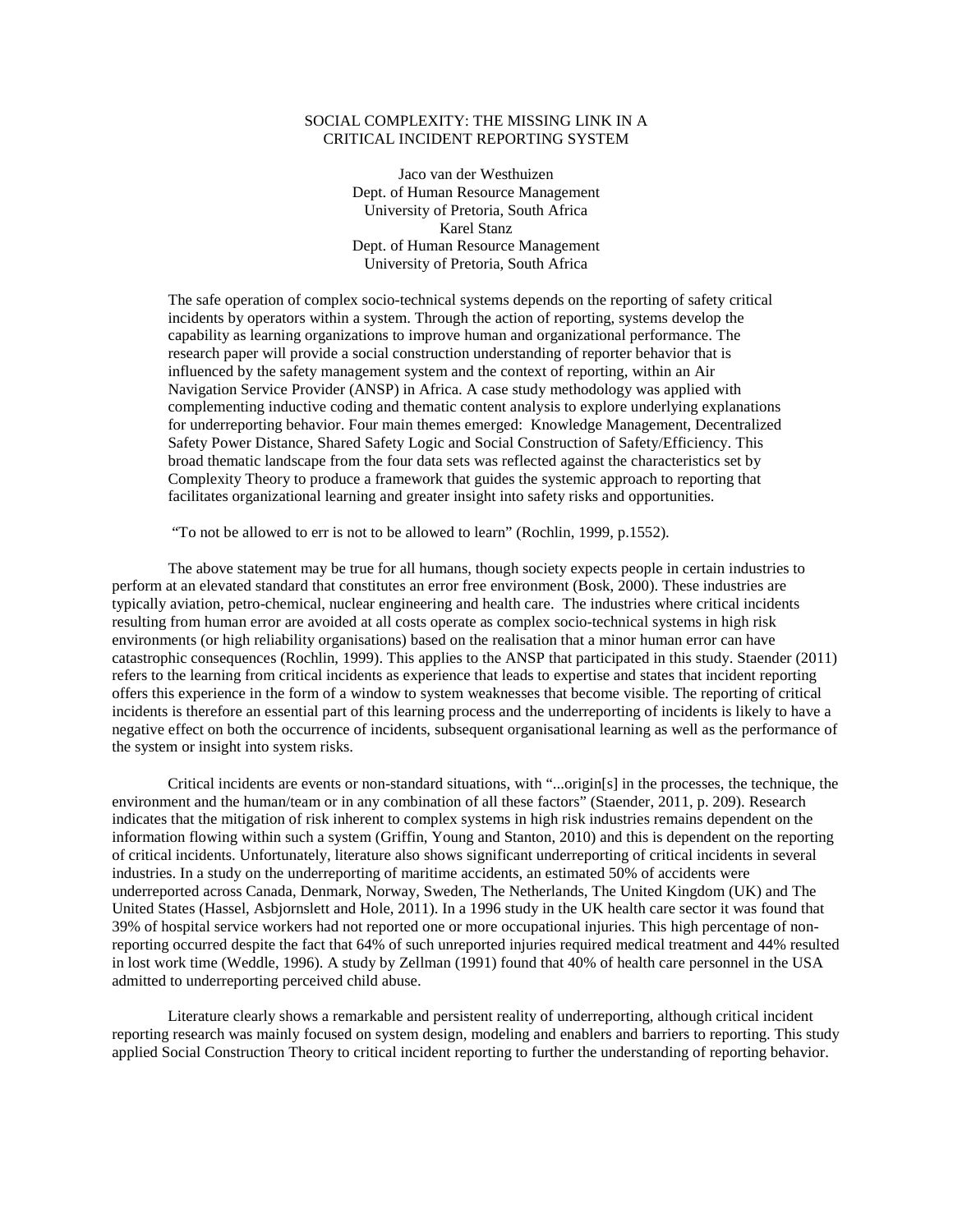#### SOCIAL COMPLEXITY: THE MISSING LINK IN A CRITICAL INCIDENT REPORTING SYSTEM

Jaco van der Westhuizen Dept. of Human Resource Management University of Pretoria, South Africa Karel Stanz Dept. of Human Resource Management University of Pretoria, South Africa

The safe operation of complex socio-technical systems depends on the reporting of safety critical incidents by operators within a system. Through the action of reporting, systems develop the capability as learning organizations to improve human and organizational performance. The research paper will provide a social construction understanding of reporter behavior that is influenced by the safety management system and the context of reporting, within an Air Navigation Service Provider (ANSP) in Africa. A case study methodology was applied with complementing inductive coding and thematic content analysis to explore underlying explanations for underreporting behavior. Four main themes emerged: Knowledge Management, Decentralized Safety Power Distance, Shared Safety Logic and Social Construction of Safety/Efficiency. This broad thematic landscape from the four data sets was reflected against the characteristics set by Complexity Theory to produce a framework that guides the systemic approach to reporting that facilitates organizational learning and greater insight into safety risks and opportunities.

"To not be allowed to err is not to be allowed to learn" (Rochlin, 1999, p.1552).

The above statement may be true for all humans, though society expects people in certain industries to perform at an elevated standard that constitutes an error free environment (Bosk, 2000). These industries are typically aviation, petro-chemical, nuclear engineering and health care. The industries where critical incidents resulting from human error are avoided at all costs operate as complex socio-technical systems in high risk environments (or high reliability organisations) based on the realisation that a minor human error can have catastrophic consequences (Rochlin, 1999). This applies to the ANSP that participated in this study. Staender (2011) refers to the learning from critical incidents as experience that leads to expertise and states that incident reporting offers this experience in the form of a window to system weaknesses that become visible. The reporting of critical incidents is therefore an essential part of this learning process and the underreporting of incidents is likely to have a negative effect on both the occurrence of incidents, subsequent organisational learning as well as the performance of the system or insight into system risks.

Critical incidents are events or non-standard situations, with "...origin[s] in the processes, the technique, the environment and the human/team or in any combination of all these factors" (Staender, 2011, p. 209). Research indicates that the mitigation of risk inherent to complex systems in high risk industries remains dependent on the information flowing within such a system (Griffin, Young and Stanton, 2010) and this is dependent on the reporting of critical incidents. Unfortunately, literature also shows significant underreporting of critical incidents in several industries. In a study on the underreporting of maritime accidents, an estimated 50% of accidents were underreported across Canada, Denmark, Norway, Sweden, The Netherlands, The United Kingdom (UK) and The United States (Hassel, Asbjornslett and Hole, 2011). In a 1996 study in the UK health care sector it was found that 39% of hospital service workers had not reported one or more occupational injuries. This high percentage of nonreporting occurred despite the fact that 64% of such unreported injuries required medical treatment and 44% resulted in lost work time (Weddle, 1996). A study by Zellman (1991) found that 40% of health care personnel in the USA admitted to underreporting perceived child abuse.

Literature clearly shows a remarkable and persistent reality of underreporting, although critical incident reporting research was mainly focused on system design, modeling and enablers and barriers to reporting. This study applied Social Construction Theory to critical incident reporting to further the understanding of reporting behavior.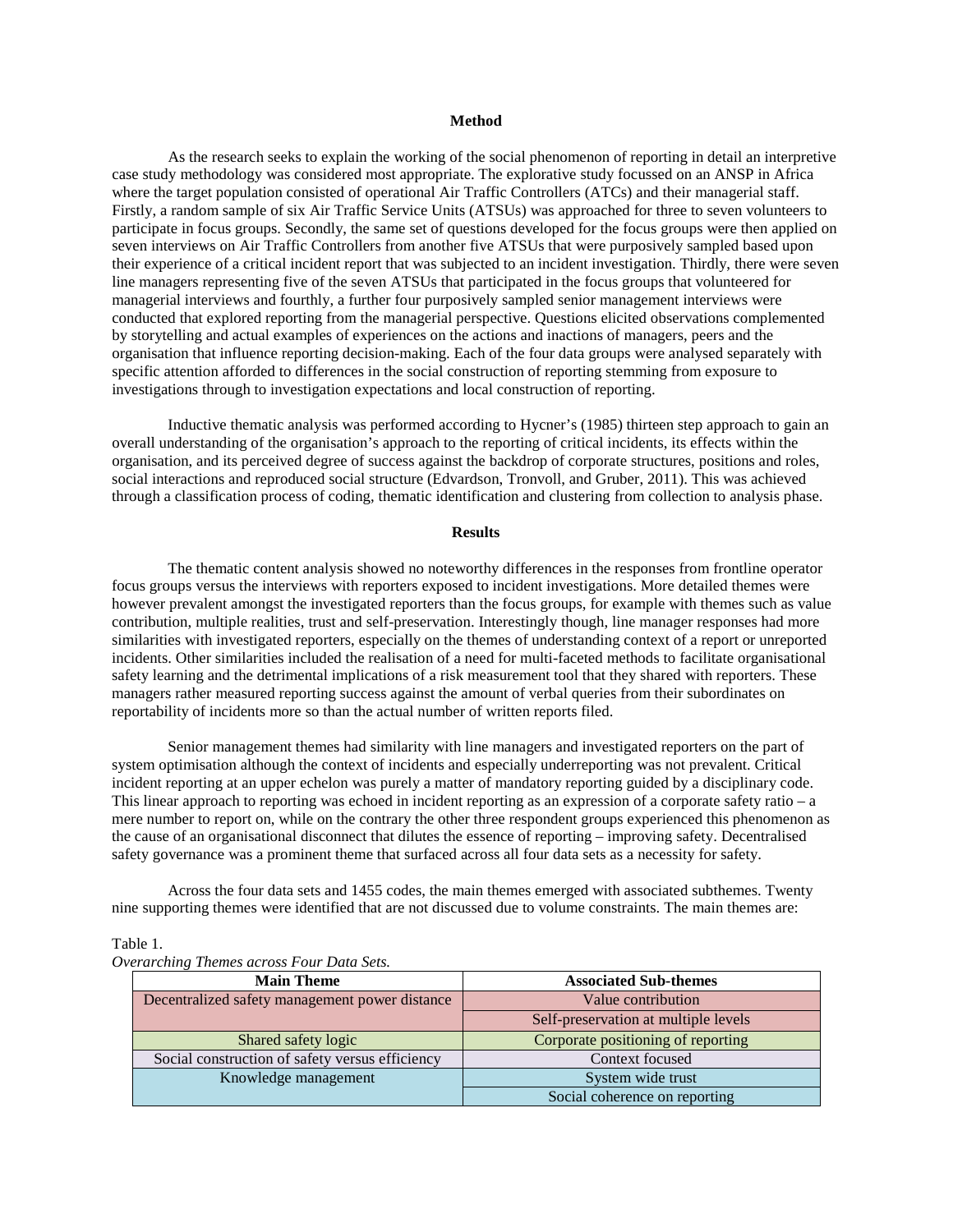#### **Method**

As the research seeks to explain the working of the social phenomenon of reporting in detail an interpretive case study methodology was considered most appropriate. The explorative study focussed on an ANSP in Africa where the target population consisted of operational Air Traffic Controllers (ATCs) and their managerial staff. Firstly, a random sample of six Air Traffic Service Units (ATSUs) was approached for three to seven volunteers to participate in focus groups. Secondly, the same set of questions developed for the focus groups were then applied on seven interviews on Air Traffic Controllers from another five ATSUs that were purposively sampled based upon their experience of a critical incident report that was subjected to an incident investigation. Thirdly, there were seven line managers representing five of the seven ATSUs that participated in the focus groups that volunteered for managerial interviews and fourthly, a further four purposively sampled senior management interviews were conducted that explored reporting from the managerial perspective. Questions elicited observations complemented by storytelling and actual examples of experiences on the actions and inactions of managers, peers and the organisation that influence reporting decision-making. Each of the four data groups were analysed separately with specific attention afforded to differences in the social construction of reporting stemming from exposure to investigations through to investigation expectations and local construction of reporting.

Inductive thematic analysis was performed according to Hycner's (1985) thirteen step approach to gain an overall understanding of the organisation's approach to the reporting of critical incidents, its effects within the organisation, and its perceived degree of success against the backdrop of corporate structures, positions and roles, social interactions and reproduced social structure (Edvardson, Tronvoll, and Gruber, 2011). This was achieved through a classification process of coding, thematic identification and clustering from collection to analysis phase.

#### **Results**

The thematic content analysis showed no noteworthy differences in the responses from frontline operator focus groups versus the interviews with reporters exposed to incident investigations. More detailed themes were however prevalent amongst the investigated reporters than the focus groups, for example with themes such as value contribution, multiple realities, trust and self-preservation. Interestingly though, line manager responses had more similarities with investigated reporters, especially on the themes of understanding context of a report or unreported incidents. Other similarities included the realisation of a need for multi-faceted methods to facilitate organisational safety learning and the detrimental implications of a risk measurement tool that they shared with reporters. These managers rather measured reporting success against the amount of verbal queries from their subordinates on reportability of incidents more so than the actual number of written reports filed.

Senior management themes had similarity with line managers and investigated reporters on the part of system optimisation although the context of incidents and especially underreporting was not prevalent. Critical incident reporting at an upper echelon was purely a matter of mandatory reporting guided by a disciplinary code. This linear approach to reporting was echoed in incident reporting as an expression of a corporate safety ratio – a mere number to report on, while on the contrary the other three respondent groups experienced this phenomenon as the cause of an organisational disconnect that dilutes the essence of reporting – improving safety. Decentralised safety governance was a prominent theme that surfaced across all four data sets as a necessity for safety.

Across the four data sets and 1455 codes, the main themes emerged with associated subthemes. Twenty nine supporting themes were identified that are not discussed due to volume constraints. The main themes are:

#### Table 1.

| Overarching Themes across Four Data Sets. |  |  |  |  |
|-------------------------------------------|--|--|--|--|
|-------------------------------------------|--|--|--|--|

| <b>Main Theme</b>                               | <b>Associated Sub-themes</b>         |  |
|-------------------------------------------------|--------------------------------------|--|
| Decentralized safety management power distance  | Value contribution                   |  |
|                                                 | Self-preservation at multiple levels |  |
| Shared safety logic                             | Corporate positioning of reporting   |  |
| Social construction of safety versus efficiency | Context focused                      |  |
| Knowledge management                            | System wide trust                    |  |
|                                                 | Social coherence on reporting        |  |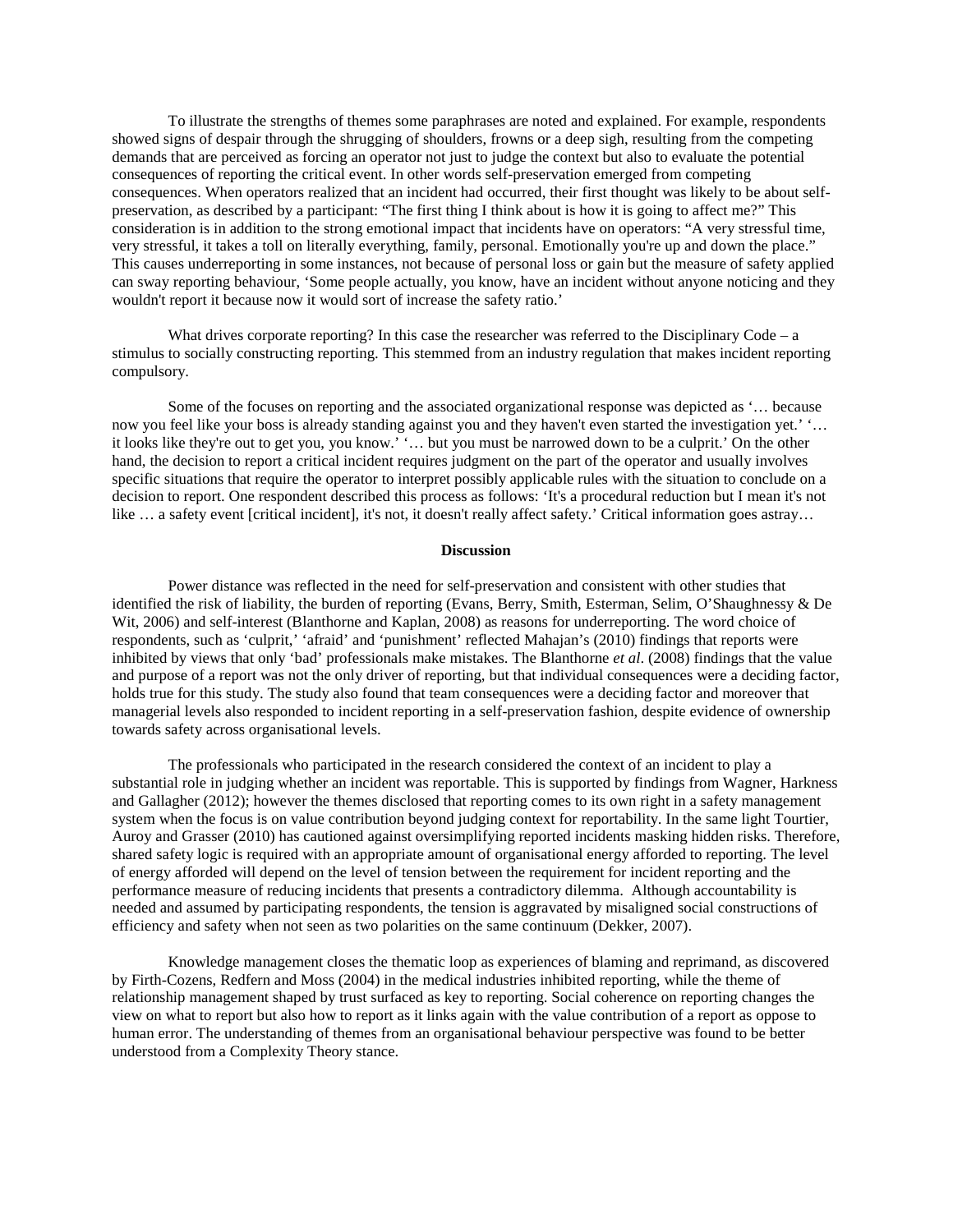To illustrate the strengths of themes some paraphrases are noted and explained. For example, respondents showed signs of despair through the shrugging of shoulders, frowns or a deep sigh, resulting from the competing demands that are perceived as forcing an operator not just to judge the context but also to evaluate the potential consequences of reporting the critical event. In other words self-preservation emerged from competing consequences. When operators realized that an incident had occurred, their first thought was likely to be about selfpreservation, as described by a participant: "The first thing I think about is how it is going to affect me?" This consideration is in addition to the strong emotional impact that incidents have on operators: "A very stressful time, very stressful, it takes a toll on literally everything, family, personal. Emotionally you're up and down the place." This causes underreporting in some instances, not because of personal loss or gain but the measure of safety applied can sway reporting behaviour, 'Some people actually, you know, have an incident without anyone noticing and they wouldn't report it because now it would sort of increase the safety ratio.'

What drives corporate reporting? In this case the researcher was referred to the Disciplinary Code – a stimulus to socially constructing reporting. This stemmed from an industry regulation that makes incident reporting compulsory.

Some of the focuses on reporting and the associated organizational response was depicted as '… because now you feel like your boss is already standing against you and they haven't even started the investigation yet.' ' it looks like they're out to get you, you know.' '… but you must be narrowed down to be a culprit.' On the other hand, the decision to report a critical incident requires judgment on the part of the operator and usually involves specific situations that require the operator to interpret possibly applicable rules with the situation to conclude on a decision to report. One respondent described this process as follows: 'It's a procedural reduction but I mean it's not like … a safety event [critical incident], it's not, it doesn't really affect safety.' Critical information goes astray…

#### **Discussion**

Power distance was reflected in the need for self-preservation and consistent with other studies that identified the risk of liability, the burden of reporting (Evans, Berry, Smith, Esterman, Selim, O'Shaughnessy & De Wit, 2006) and self-interest (Blanthorne and Kaplan, 2008) as reasons for underreporting. The word choice of respondents, such as 'culprit,' 'afraid' and 'punishment' reflected Mahajan's (2010) findings that reports were inhibited by views that only 'bad' professionals make mistakes. The Blanthorne *et al*. (2008) findings that the value and purpose of a report was not the only driver of reporting, but that individual consequences were a deciding factor, holds true for this study. The study also found that team consequences were a deciding factor and moreover that managerial levels also responded to incident reporting in a self-preservation fashion, despite evidence of ownership towards safety across organisational levels.

The professionals who participated in the research considered the context of an incident to play a substantial role in judging whether an incident was reportable. This is supported by findings from Wagner, Harkness and Gallagher (2012); however the themes disclosed that reporting comes to its own right in a safety management system when the focus is on value contribution beyond judging context for reportability. In the same light Tourtier, Auroy and Grasser (2010) has cautioned against oversimplifying reported incidents masking hidden risks. Therefore, shared safety logic is required with an appropriate amount of organisational energy afforded to reporting. The level of energy afforded will depend on the level of tension between the requirement for incident reporting and the performance measure of reducing incidents that presents a contradictory dilemma. Although accountability is needed and assumed by participating respondents, the tension is aggravated by misaligned social constructions of efficiency and safety when not seen as two polarities on the same continuum (Dekker, 2007).

Knowledge management closes the thematic loop as experiences of blaming and reprimand, as discovered by Firth-Cozens, Redfern and Moss (2004) in the medical industries inhibited reporting, while the theme of relationship management shaped by trust surfaced as key to reporting. Social coherence on reporting changes the view on what to report but also how to report as it links again with the value contribution of a report as oppose to human error. The understanding of themes from an organisational behaviour perspective was found to be better understood from a Complexity Theory stance.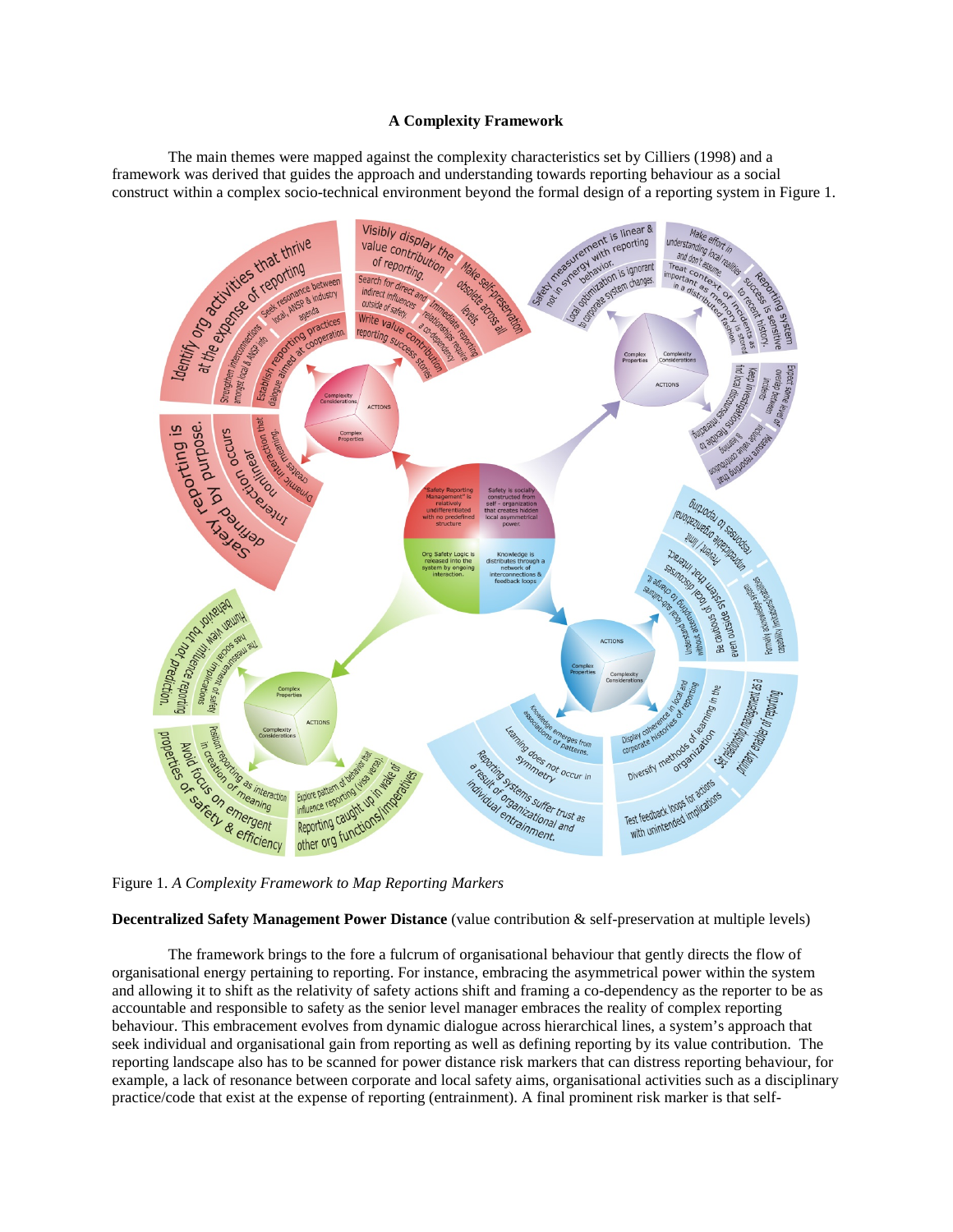#### **A Complexity Framework**

The main themes were mapped against the complexity characteristics set by Cilliers (1998) and a framework was derived that guides the approach and understanding towards reporting behaviour as a social



**Decentralized Safety Management Power Distance** (value contribution & self-preservation at multiple levels)

The framework brings to the fore a fulcrum of organisational behaviour that gently directs the flow of organisational energy pertaining to reporting. For instance, embracing the asymmetrical power within the system and allowing it to shift as the relativity of safety actions shift and framing a co-dependency as the reporter to be as accountable and responsible to safety as the senior level manager embraces the reality of complex reporting behaviour. This embracement evolves from dynamic dialogue across hierarchical lines, a system's approach that seek individual and organisational gain from reporting as well as defining reporting by its value contribution. The reporting landscape also has to be scanned for power distance risk markers that can distress reporting behaviour, for example, a lack of resonance between corporate and local safety aims, organisational activities such as a disciplinary practice/code that exist at the expense of reporting (entrainment). A final prominent risk marker is that self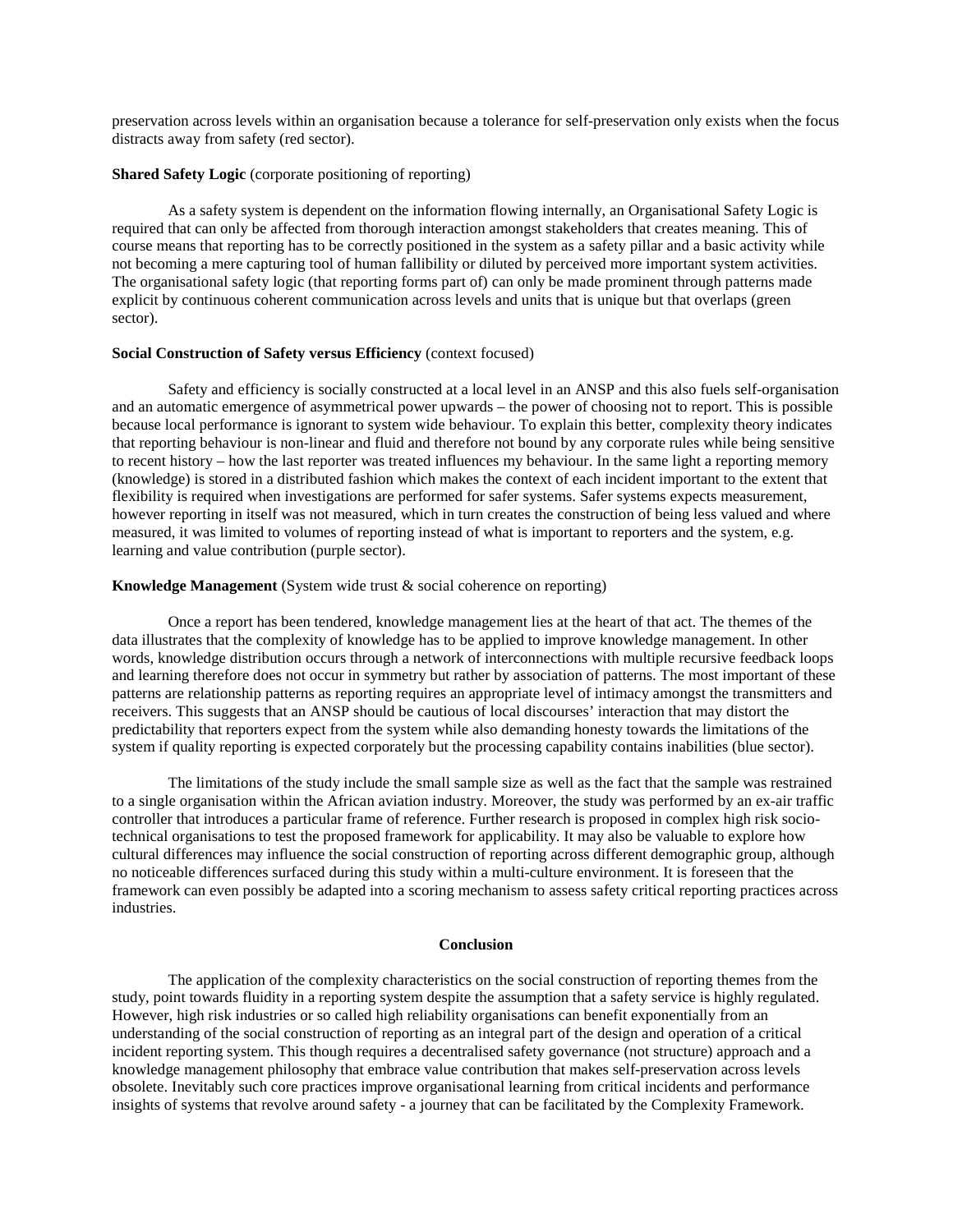preservation across levels within an organisation because a tolerance for self-preservation only exists when the focus distracts away from safety (red sector).

#### **Shared Safety Logic** (corporate positioning of reporting)

As a safety system is dependent on the information flowing internally, an Organisational Safety Logic is required that can only be affected from thorough interaction amongst stakeholders that creates meaning. This of course means that reporting has to be correctly positioned in the system as a safety pillar and a basic activity while not becoming a mere capturing tool of human fallibility or diluted by perceived more important system activities. The organisational safety logic (that reporting forms part of) can only be made prominent through patterns made explicit by continuous coherent communication across levels and units that is unique but that overlaps (green sector).

#### **Social Construction of Safety versus Efficiency** (context focused)

Safety and efficiency is socially constructed at a local level in an ANSP and this also fuels self-organisation and an automatic emergence of asymmetrical power upwards – the power of choosing not to report. This is possible because local performance is ignorant to system wide behaviour. To explain this better, complexity theory indicates that reporting behaviour is non-linear and fluid and therefore not bound by any corporate rules while being sensitive to recent history – how the last reporter was treated influences my behaviour. In the same light a reporting memory (knowledge) is stored in a distributed fashion which makes the context of each incident important to the extent that flexibility is required when investigations are performed for safer systems. Safer systems expects measurement, however reporting in itself was not measured, which in turn creates the construction of being less valued and where measured, it was limited to volumes of reporting instead of what is important to reporters and the system, e.g. learning and value contribution (purple sector).

#### **Knowledge Management** (System wide trust & social coherence on reporting)

Once a report has been tendered, knowledge management lies at the heart of that act. The themes of the data illustrates that the complexity of knowledge has to be applied to improve knowledge management. In other words, knowledge distribution occurs through a network of interconnections with multiple recursive feedback loops and learning therefore does not occur in symmetry but rather by association of patterns. The most important of these patterns are relationship patterns as reporting requires an appropriate level of intimacy amongst the transmitters and receivers. This suggests that an ANSP should be cautious of local discourses' interaction that may distort the predictability that reporters expect from the system while also demanding honesty towards the limitations of the system if quality reporting is expected corporately but the processing capability contains inabilities (blue sector).

The limitations of the study include the small sample size as well as the fact that the sample was restrained to a single organisation within the African aviation industry. Moreover, the study was performed by an ex-air traffic controller that introduces a particular frame of reference. Further research is proposed in complex high risk sociotechnical organisations to test the proposed framework for applicability. It may also be valuable to explore how cultural differences may influence the social construction of reporting across different demographic group, although no noticeable differences surfaced during this study within a multi-culture environment. It is foreseen that the framework can even possibly be adapted into a scoring mechanism to assess safety critical reporting practices across industries.

#### **Conclusion**

The application of the complexity characteristics on the social construction of reporting themes from the study, point towards fluidity in a reporting system despite the assumption that a safety service is highly regulated. However, high risk industries or so called high reliability organisations can benefit exponentially from an understanding of the social construction of reporting as an integral part of the design and operation of a critical incident reporting system. This though requires a decentralised safety governance (not structure) approach and a knowledge management philosophy that embrace value contribution that makes self-preservation across levels obsolete. Inevitably such core practices improve organisational learning from critical incidents and performance insights of systems that revolve around safety - a journey that can be facilitated by the Complexity Framework.